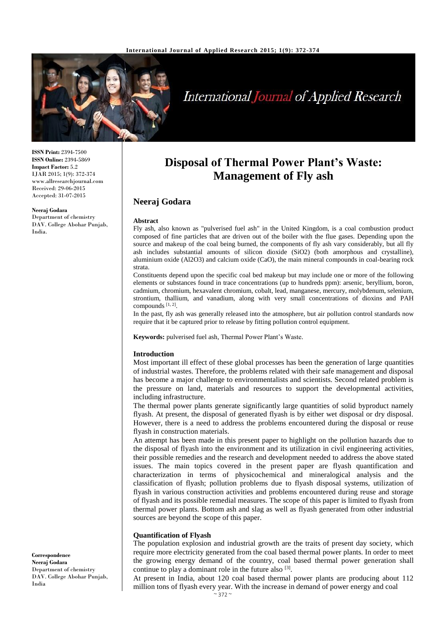

# International Journal of Applied Research

**ISSN Print:** 2394-7500 **ISSN Online:** 2394-5869 **Impact Factor:** 5.2 IJAR 2015; 1(9): 372-374 www.allresearchjournal.com Received: 29-06-2015 Accepted: 31-07-2015

**Neeraj Godara** Department of chemistry DAV. College Abohar Punjab, India.

**Disposal of Thermal Power Plant's Waste: Management of Fly ash**

## **Neeraj Godara**

#### **Abstract**

Fly ash, also known as "pulverised fuel ash" in the United Kingdom, is a coal combustion product composed of fine particles that are driven out of the boiler with the flue gases. Depending upon the source and makeup of the coal being burned, the components of fly ash vary considerably, but all fly ash includes substantial amounts of silicon dioxide (SiO2) (both amorphous and crystalline), aluminium oxide (Al2O3) and calcium oxide (CaO), the main mineral compounds in coal-bearing rock strata.

Constituents depend upon the specific coal bed makeup but may include one or more of the following elements or substances found in trace concentrations (up to hundreds ppm): arsenic, beryllium, boron, cadmium, chromium, hexavalent chromium, cobalt, lead, manganese, mercury, molybdenum, selenium, strontium, thallium, and vanadium, along with very small concentrations of dioxins and PAH compounds [1, 2] .

In the past, fly ash was generally released into the atmosphere, but air pollution control standards now require that it be captured prior to release by fitting pollution control equipment.

**Keywords:** pulverised fuel ash, Thermal Power Plant's Waste.

#### **Introduction**

Most important ill effect of these global processes has been the generation of large quantities of industrial wastes. Therefore, the problems related with their safe management and disposal has become a major challenge to environmentalists and scientists. Second related problem is the pressure on land, materials and resources to support the developmental activities, including infrastructure.

The thermal power plants generate significantly large quantities of solid byproduct namely flyash. At present, the disposal of generated flyash is by either wet disposal or dry disposal. However, there is a need to address the problems encountered during the disposal or reuse flyash in construction materials.

An attempt has been made in this present paper to highlight on the pollution hazards due to the disposal of flyash into the environment and its utilization in civil engineering activities, their possible remedies and the research and development needed to address the above stated issues. The main topics covered in the present paper are flyash quantification and characterization in terms of physicochemical and mineralogical analysis and the classification of flyash; pollution problems due to flyash disposal systems, utilization of flyash in various construction activities and problems encountered during reuse and storage of flyash and its possible remedial measures. The scope of this paper is limited to flyash from thermal power plants. Bottom ash and slag as well as flyash generated from other industrial sources are beyond the scope of this paper.

#### **Quantification of Flyash**

The population explosion and industrial growth are the traits of present day society, which require more electricity generated from the coal based thermal power plants. In order to meet the growing energy demand of the country, coal based thermal power generation shall continue to play a dominant role in the future also  $[3]$ .

At present in India, about 120 coal based thermal power plants are producing about 112 million tons of flyash every year. With the increase in demand of power energy and coal

**Correspondence Neeraj Godara** Department of chemistry DAV. College Abohar Punjab, India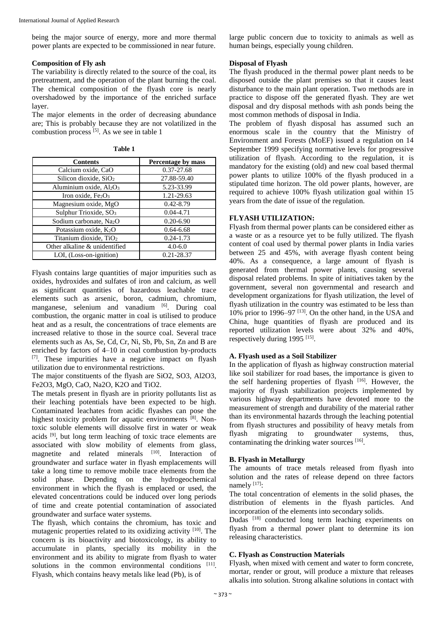being the major source of energy, more and more thermal power plants are expected to be commissioned in near future.

#### **Composition of Fly ash**

The variability is directly related to the source of the coal, its pretreatment, and the operation of the plant burning the coal. The chemical composition of the flyash core is nearly overshadowed by the importance of the enriched surface layer.

The major elements in the order of decreasing abundance are; This is probably because they are not volatilized in the combustion process  $^{[5]}$ . As we see in table 1

**Table 1**

| <b>Contents</b>                                 | Percentage by mass |
|-------------------------------------------------|--------------------|
| Calcium oxide, CaO                              | 0.37-27.68         |
| Silicon dioxide, SiO <sub>2</sub>               | 27.88-59.40        |
| Aluminium oxide, Al <sub>2</sub> O <sub>3</sub> | 5.23-33.99         |
| Iron oxide, $Fe2O3$                             | 1.21-29.63         |
| Magnesium oxide, MgO                            | $0.42 - 8.79$      |
| Sulphur Trioxide, SO <sub>3</sub>               | $0.04 - 4.71$      |
| Sodium carbonate, Na <sub>2</sub> O             | $0.20 - 6.90$      |
| Potassium oxide, $K_2O$                         | $0.64 - 6.68$      |
| Titanium dioxide, TiO <sub>2</sub>              | $0.24 - 1.73$      |
| Other alkaline & unidentified                   | $4.0 - 6.0$        |
| LOI, (Loss-on-ignition)                         | 0.21-28.37         |

Flyash contains large quantities of major impurities such as oxides, hydroxides and sulfates of iron and calcium, as well as significant quantities of hazardous leachable trace elements such as arsenic, boron, cadmium, chromium, manganese, selenium and vanadium [6]. During coal combustion, the organic matter in coal is utilised to produce heat and as a result, the concentrations of trace elements are increased relative to those in the source coal. Several trace elements such as As, Se, Cd, Cr, Ni, Sb, Pb, Sn, Zn and B are enriched by factors of 4–10 in coal combustion by-products [7]. These impurities have a negative impact on flyash utilization due to environmental restrictions.

The major constituents of the flyash are SiO2, SO3, Al2O3, Fe2O3, MgO, CaO, Na2O, K2O and TiO2.

The metals present in flyash are in priority pollutants list as their leaching potentials have been expected to be high. Contaminated leachates from acidic flyashes can pose the highest toxicity problem for aquatic environments [8]. Nontoxic soluble elements will dissolve first in water or weak acids <sup>[9]</sup>, but long term leaching of toxic trace elements are associated with slow mobility of elements from glass, magnetite and related minerals [10]. Interaction of groundwater and surface water in flyash emplacements will take a long time to remove mobile trace elements from the solid phase. Depending on the hydrogeochemical environment in which the flyash is emplaced or used, the elevated concentrations could be induced over long periods of time and create potential contamination of associated groundwater and surface water systems.

The flyash, which contains the chromium, has toxic and mutagenic properties related to its oxidizing activity [10]. The concern is its bioactivity and biotoxicology, its ability to accumulate in plants, specially its mobility in the environment and its ability to migrate from flyash to water solutions in the common environmental conditions [11]. Flyash, which contains heavy metals like lead (Pb), is of

large public concern due to toxicity to animals as well as human beings, especially young children.

#### **Disposal of Flyash**

The flyash produced in the thermal power plant needs to be disposed outside the plant premises so that it causes least disturbance to the main plant operation. Two methods are in practice to dispose off the generated flyash. They are wet disposal and dry disposal methods with ash ponds being the most common methods of disposal in India.

The problem of flyash disposal has assumed such an enormous scale in the country that the Ministry of Environment and Forests (MoEF) issued a regulation on 14 September 1999 specifying normative levels for progressive utilization of flyash. According to the regulation, it is mandatory for the existing (old) and new coal based thermal power plants to utilize 100% of the flyash produced in a stipulated time horizon. The old power plants, however, are required to achieve 100% flyash utilization goal within 15 years from the date of issue of the regulation.

### **FLYASH UTILIZATION:**

Flyash from thermal power plants can be considered either as a waste or as a resource yet to be fully utilized. The flyash content of coal used by thermal power plants in India varies between 25 and 45%, with average flyash content being 40%. As a consequence, a large amount of flyash is generated from thermal power plants, causing several disposal related problems. In spite of initiatives taken by the government, several non governmental and research and development organizations for flyash utilization, the level of flyash utilization in the country was estimated to be less than 10% prior to 1996–97 [13]. On the other hand, in the USA and China, huge quantities of flyash are produced and its reported utilization levels were about 32% and 40%, respectively during  $1995$ <sup>[15]</sup>.

### **A. Flyash used as a Soil Stabilizer**

In the application of flyash as highway construction material like soil stabilizer for road bases, the importance is given to the self hardening properties of flyash [16]. However, the majority of flyash stabilization projects implemented by various highway departments have devoted more to the measurement of strength and durability of the material rather than its environmental hazards through the leaching potential from flyash structures and possibility of heavy metals from flyash migrating to groundwater systems, thus, contaminating the drinking water sources [16].

### **B. Flyash in Metallurgy**

The amounts of trace metals released from flyash into solution and the rates of release depend on three factors namely  $[17]$ :

The total concentration of elements in the solid phases, the distribution of elements in the flyash particles. And incorporation of the elements into secondary solids.

Dudas<sup>[18]</sup> conducted long term leaching experiments on flyash from a thermal power plant to determine its ion releasing characteristics.

### **C. Flyash as Construction Materials**

Flyash, when mixed with cement and water to form concrete, mortar, render or grout, will produce a mixture that releases alkalis into solution. Strong alkaline solutions in contact with